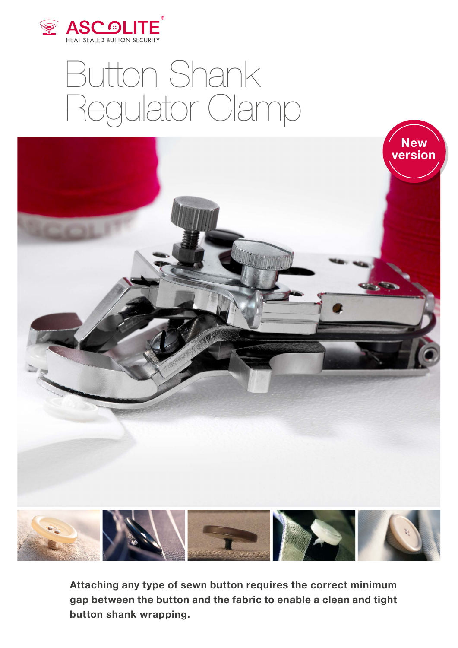

## Button Shank Regulator Clamp



**Attaching any type of sewn button requires the correct minimum gap between the button and the fabric to enable a clean and tight button shank wrapping.**